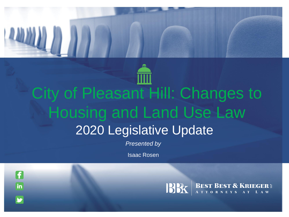

## City of Pleasant Hill: Changes to Housing and Land Use Law 2020 Legislative Update

*Presented by*

Isaac Rosen

A

 $\overline{\mathbf{in}}$ 

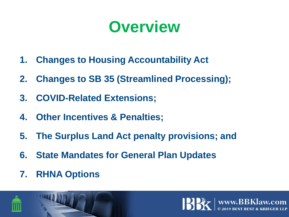

- **1. Changes to Housing Accountability Act**
- **2. Changes to SB 35 (Streamlined Processing);**
- **3. COVID-Related Extensions;**
- **4. Other Incentives & Penalties;**
- **5. The Surplus Land Act penalty provisions; and**
- **6. State Mandates for General Plan Updates**
- **7. RHNA Options**



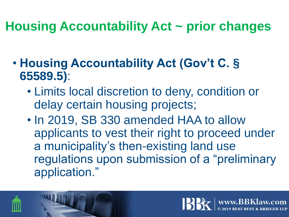#### **Housing Accountability Act ~ prior changes**

- **Housing Accountability Act (Gov't C. § 65589.5)**:
	- Limits local discretion to deny, condition or delay certain housing projects;
	- In 2019, SB 330 amended HAA to allow applicants to vest their right to proceed under a municipality's then-existing land use regulations upon submission of a "preliminary application."

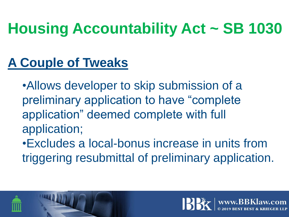## **Housing Accountability Act ~ SB 1030**

#### **A Couple of Tweaks**

•Allows developer to skip submission of a preliminary application to have "complete application" deemed complete with full application;

•Excludes a local-bonus increase in units from triggering resubmittal of preliminary application.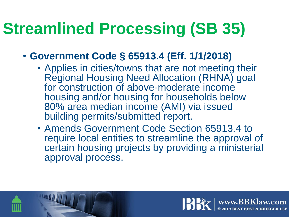## **Streamlined Processing (SB 35)**

- **Government Code § 65913.4 (Eff. 1/1/2018)**
	- Applies in cities/towns that are not meeting their Regional Housing Need Allocation (RHNA) goal for construction of above-moderate income housing and/or housing for households below 80% area median income (AMI) via issued building permits/submitted report.
	- Amends Government Code Section 65913.4 to require local entities to streamline the approval of certain housing projects by providing a ministerial approval process.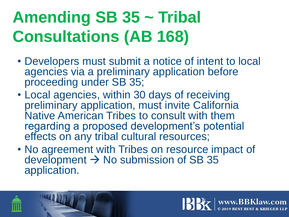# **Amending SB 35 ~ Tribal Consultations (AB 168)**

- Developers must submit a notice of intent to local agencies via a preliminary application before proceeding under SB 35;
- Local agencies, within 30 days of receiving preliminary application, must invite California Native American Tribes to consult with them regarding a proposed development's potential effects on any tribal cultural resources;
- No agreement with Tribes on resource impact of development  $\rightarrow$  No submission of SB 35 application.

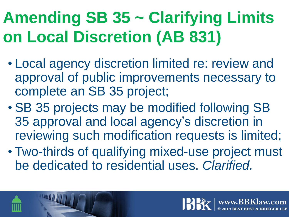# **Amending SB 35 ~ Clarifying Limits on Local Discretion (AB 831)**

- Local agency discretion limited re: review and approval of public improvements necessary to complete an SB 35 project;
- SB 35 projects may be modified following SB 35 approval and local agency's discretion in reviewing such modification requests is limited;
- Two-thirds of qualifying mixed-use project must be dedicated to residential uses. *Clarified.*

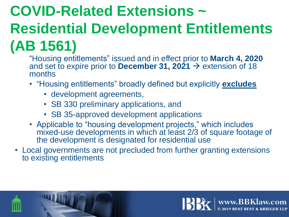## **COVID-Related Extensions ~ Residential Development Entitlements (AB 1561)**

- "Housing entitlements" issued and in effect prior to **March 4, 2020**  and set to expire prior to **December 31, 2021**  $\rightarrow$  extension of 18 months
- "Housing entitlements" broadly defined but explicitly **excludes**
	- development agreements,
	- SB 330 preliminary applications, and
	- SB 35-approved development applications
- Applicable to "housing development projects," which includes mixed-use developments in which at least 2/3 of square footage of the development is designated for residential use
- Local governments are not precluded from further granting extensions to existing entitlements

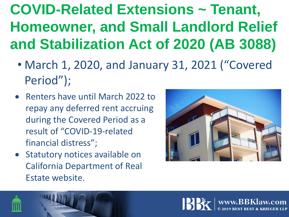## **COVID-Related Extensions ~ Tenant, Homeowner, and Small Landlord Relief and Stabilization Act of 2020 (AB 3088)**

- March 1, 2020, and January 31, 2021 ("Covered Period");
- Renters have until March 2022 to repay any deferred rent accruing during the Covered Period as a result of "COVID-19-related financial distress";
- Statutory notices available on California Department of Real Estate website.



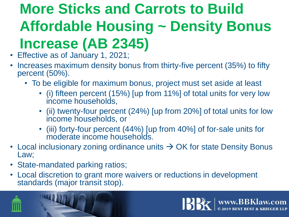## **More Sticks and Carrots to Build Affordable Housing ~ Density Bonus Increase (AB 2345)**

- Effective as of January 1, 2021;
- Increases maximum density bonus from thirty-five percent (35%) to fifty percent (50%).
	- To be eligible for maximum bonus, project must set aside at least
		- (i) fifteen percent (15%) [up from 11%] of total units for very low income households,
		- (ii) twenty-four percent (24%) [up from 20%] of total units for low income households, or
		- (iii) forty-four percent (44%) [up from 40%] of for-sale units for moderate income households.
- Local inclusionary zoning ordinance units  $\rightarrow$  OK for state Density Bonus Law;
- State-mandated parking ratios;
- Local discretion to grant more waivers or reductions in development standards (major transit stop).



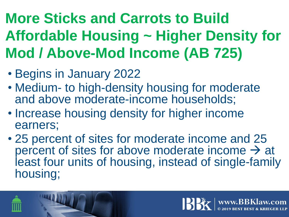## **More Sticks and Carrots to Build Affordable Housing ~ Higher Density for Mod / Above-Mod Income (AB 725)**

- Begins in January 2022
- Medium- to high-density housing for moderate and above moderate-income households;
- Increase housing density for higher income earners;
- 25 percent of sites for moderate income and 25 percent of sites for above moderate income  $\rightarrow$  at least four units of housing, instead of single-family housing;

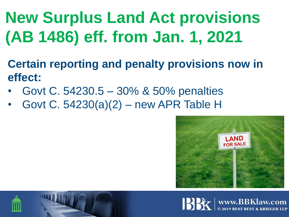**New Surplus Land Act provisions (AB 1486) eff. from Jan. 1, 2021**

- **Certain reporting and penalty provisions now in effect:**
- Govt C. 54230.5 30% & 50% penalties
- Govt C. 54230(a)(2) new APR Table H





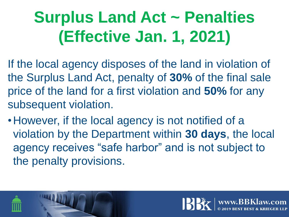# **Surplus Land Act ~ Penalties (Effective Jan. 1, 2021)**

- If the local agency disposes of the land in violation of the Surplus Land Act, penalty of **30%** of the final sale price of the land for a first violation and **50%** for any subsequent violation.
- •However, if the local agency is not notified of a violation by the Department within **30 days**, the local agency receives "safe harbor" and is not subject to the penalty provisions.

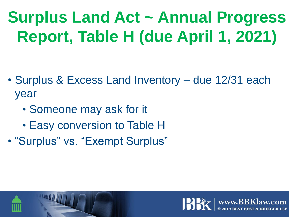# **Surplus Land Act ~ Annual Progress Report, Table H (due April 1, 2021)**

- Surplus & Excess Land Inventory due 12/31 each year
	- Someone may ask for it
	- Easy conversion to Table H
- "Surplus" vs. "Exempt Surplus"

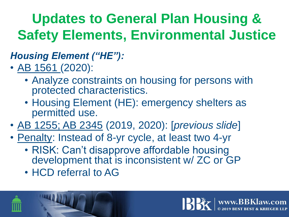#### **Updates to General Plan Housing & Safety Elements, Environmental Justice**

#### *Housing Element ("HE"):*

- AB 1561 (2020):
	- Analyze constraints on housing for persons with protected characteristics.
	- Housing Element (HE): emergency shelters as permitted use.
- AB 1255; AB 2345 (2019, 2020): [*previous slide*]
- Penalty: Instead of 8-yr cycle, at least two 4-yr
	- RISK: Can't disapprove affordable housing development that is inconsistent w/ ZC or GP
	- HCD referral to AG

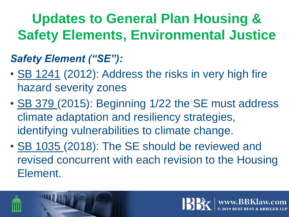#### **Updates to General Plan Housing & Safety Elements, Environmental Justice**

#### *Safety Element ("SE"):*

- SB 1241 (2012): Address the risks in very high fire hazard severity zones
- SB 379 (2015): Beginning 1/22 the SE must address climate adaptation and resiliency strategies, identifying vulnerabilities to climate change.
- SB 1035 (2018): The SE should be reviewed and revised concurrent with each revision to the Housing Element.

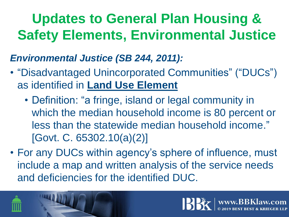#### **Updates to General Plan Housing & Safety Elements, Environmental Justice**

*Environmental Justice (SB 244, 2011):*

- "Disadvantaged Unincorporated Communities" ("DUCs") as identified in **Land Use Element**
	- Definition: "a fringe, island or legal community in which the median household income is 80 percent or less than the statewide median household income." [Govt. C. 65302.10(a)(2)]
- For any DUCs within agency's sphere of influence, must include a map and written analysis of the service needs and deficiencies for the identified DUC.



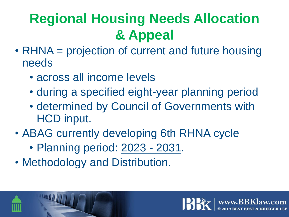#### **Regional Housing Needs Allocation & Appeal**

- RHNA = projection of current and future housing needs
	- across all income levels
	- during a specified eight-year planning period
	- determined by Council of Governments with HCD input.
- ABAG currently developing 6th RHNA cycle
	- Planning period: 2023 2031.
- Methodology and Distribution.

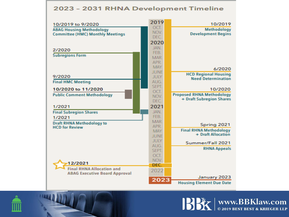#### 2023 - 2031 RHNA Development Timeline

| 10/2019 to 9/2020                       | 2019               | 10/2019                                                  |
|-----------------------------------------|--------------------|----------------------------------------------------------|
| <b>ABAG Housing Methodology</b>         | OCT.               | Methodology                                              |
| <b>Committee (HMC) Monthly Meetings</b> | NOV.               | <b>Development Begins</b>                                |
|                                         | DEC.               |                                                          |
|                                         | 2020               |                                                          |
| 2/2020                                  | JAN.               |                                                          |
| <b>Subregions Form</b>                  | FEB.               |                                                          |
|                                         | <b>MAR</b><br>APR. |                                                          |
|                                         | <b>MAY</b>         |                                                          |
|                                         | <b>JUNE</b>        | 6/2020                                                   |
| 9/2020                                  | <b>JULY</b>        | <b>HCD Regional Housing</b><br><b>Need Determination</b> |
| <b>Final HMC Meeting</b>                | AUG.               |                                                          |
| 10/2020 to 11/2020                      | <b>SEPT.</b>       | 10/2020                                                  |
|                                         | OCT.               | <b>Proposed RHNA Methodology</b>                         |
| <b>Public Comment Methodology</b>       | NOV.               | + Draft Subregion Shares                                 |
|                                         | DEC.               |                                                          |
| 1/2021                                  | 2021               |                                                          |
| <b>Final Subregion Shares</b>           | JAN.               |                                                          |
| 1/2021                                  | FEB.<br><b>MAR</b> |                                                          |
| <b>Draft RHNA Methodology to</b>        | <b>APR</b>         | Spring 2021                                              |
| <b>HCD for Review</b>                   | <b>MAY</b>         | <b>Final RHNA Methodology</b>                            |
|                                         | <b>JUNE</b>        | + Draft Allocation                                       |
|                                         | <b>JULY</b>        | Summer/Fall 2021                                         |
|                                         | AUG.               |                                                          |
|                                         | <b>SEPT.</b>       | <b>RHNA Appeals</b>                                      |
|                                         | OCT.               |                                                          |
| 12/2021                                 | NOV.               |                                                          |
| <b>Final RHNA Allocation and</b>        | DEC.               |                                                          |
| <b>ABAG Executive Board Approval</b>    | 2022               |                                                          |
|                                         | 2023               | January 2023                                             |
|                                         |                    | <b>Housing Element Due Date</b>                          |





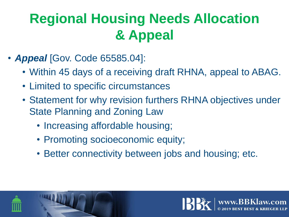#### **Regional Housing Needs Allocation & Appeal**

- *Appeal* [Gov. Code 65585.04]:
	- Within 45 days of a receiving draft RHNA, appeal to ABAG.
	- Limited to specific circumstances
	- Statement for why revision furthers RHNA objectives under State Planning and Zoning Law
		- Increasing affordable housing;
		- Promoting socioeconomic equity;
		- Better connectivity between jobs and housing; etc.



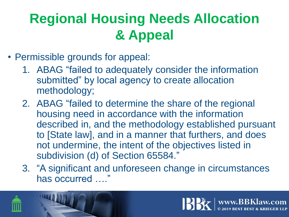#### **Regional Housing Needs Allocation & Appeal**

- Permissible grounds for appeal:
	- 1. ABAG "failed to adequately consider the information submitted" by local agency to create allocation methodology;
	- 2. ABAG "failed to determine the share of the regional housing need in accordance with the information described in, and the methodology established pursuant to [State law], and in a manner that furthers, and does not undermine, the intent of the objectives listed in subdivision (d) of Section 65584."
	- 3. "A significant and unforeseen change in circumstances has occurred …."



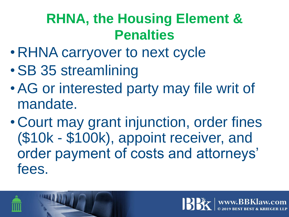#### **RHNA, the Housing Element & Penalties**

- RHNA carryover to next cycle
- •SB 35 streamlining
- •AG or interested party may file writ of mandate.
- Court may grant injunction, order fines (\$10k - \$100k), appoint receiver, and order payment of costs and attorneys' fees.